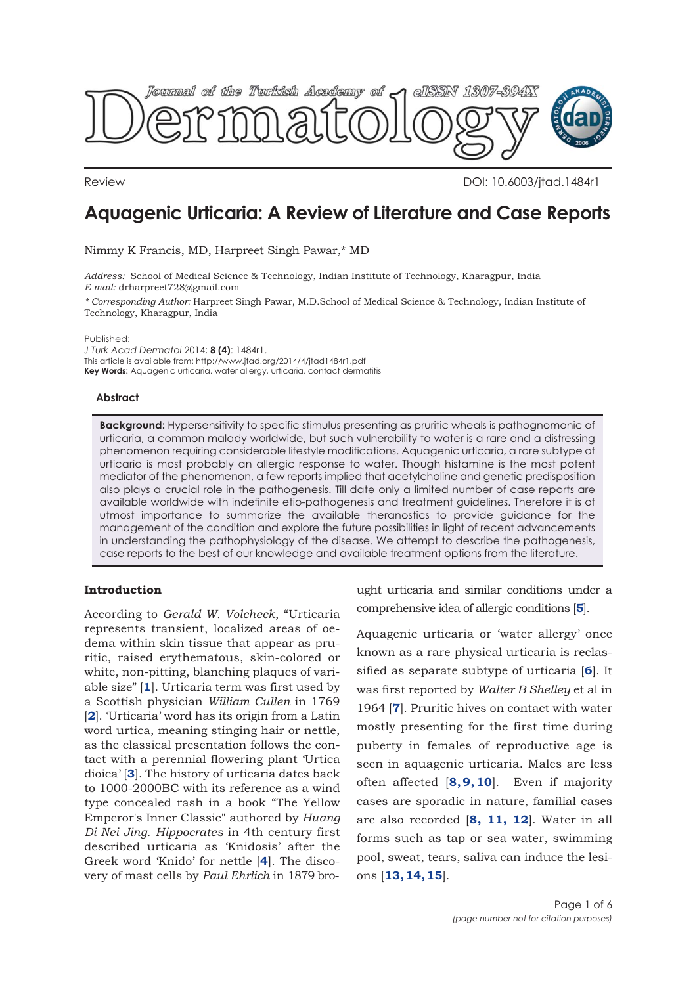

Review DOI: 10.6003/jtad.1484r1

# **Aquagenic Urticaria: A Review of Literature and Case Reports**

Nimmy K Francis, MD, Harpreet Singh Pawar,\* MD

*Address:* School of Medical Science & Technology, Indian Institute of Technology, Kharagpur, India *E-mail:* drharpreet728@gmail.com

*\* Corresponding Author:* Harpreet Singh Pawar, M.D.School of Medical Science & Technology, Indian Institute of Technology, Kharagpur, India

Published:

*J Turk Acad Dermatol* 2014; **8 (4)**: 1484r1. This article is available from: http://www.jtad.org/2014/4/jtad1484r1.pdf **Key Words:** Aquagenic urticaria, water allergy, urticaria, contact dermatitis

# **Abstract**

**Background:** Hypersensitivity to specific stimulus presenting as pruritic wheals is pathognomonic of urticaria, a common malady worldwide, but such vulnerability to water is a rare and a distressing phenomenon requiring considerable lifestyle modifications. Aquagenic urticaria, a rare subtype of urticaria is most probably an allergic response to water. Though histamine is the most potent mediator of the phenomenon, a few reports implied that acetylcholine and genetic predisposition also plays a crucial role in the pathogenesis. Till date only a limited number of case reports are available worldwide with indefinite etio-pathogenesis and treatment guidelines. Therefore it is of utmost importance to summarize the available theranostics to provide guidance for the management of the condition and explore the future possibilities in light of recent advancements in understanding the pathophysiology of the disease. We attempt to describe the pathogenesis, case reports to the best of our knowledge and available treatment options from the literature.

# **Introduction**

According to *Gerald W. Volcheck*, "Urticaria represents transient, localized areas of oedema within skin tissue that appear as pruritic, raised erythematous, skin-colored or white, non-pitting, blanching plaques of variable size" [**[1](#page-4-0)**]. Urticaria term was first used by a Scottish physician *William Cullen* in 1769 [**[2](#page-4-0)**]. 'Urticaria' word has its origin from a Latin word urtica, meaning stinging hair or nettle, as the classical presentation follows the contact with a perennial flowering plant 'Urtica dioica' [**[3](#page-4-0)**]. The history of urticaria dates back to 1000-2000BC with its reference as a wind type concealed rash in a book "The Yellow Emperor's Inner Classic" authored by *Huang Di Nei Jing*. *Hippocrates* in 4th century first described urticaria as 'Knidosis' after the Greek word 'Knido' for nettle [**[4](#page-4-0)**]. The discovery of mast cells by *Paul Ehrlich* in 1879 brought urticaria and similar conditions under a comprehensive idea of allergic conditions [**[5](#page-4-0)**].

Aquagenic urticaria or 'water allergy' once known as a rare physical urticaria is reclassified as separate subtype of urticaria [**[6](#page-4-0)**]. It was first reported by *Walter B Shelley* et al in 1964 [**[7](#page-4-0)**]. Pruritic hives on contact with water mostly presenting for the first time during puberty in females of reproductive age is seen in aquagenic urticaria. Males are less often affected [**[8](#page-4-0), [9](#page-4-0), [10](#page-4-0)**]. Even if majority cases are sporadic in nature, familial cases are also recorded [**[8,](#page-4-0) [11,](#page-4-0) [12](#page-4-0)**]. Water in all forms such as tap or sea water, swimming pool, sweat, tears, saliva can induce the lesions [**[13, 14, 15](#page-4-0)**].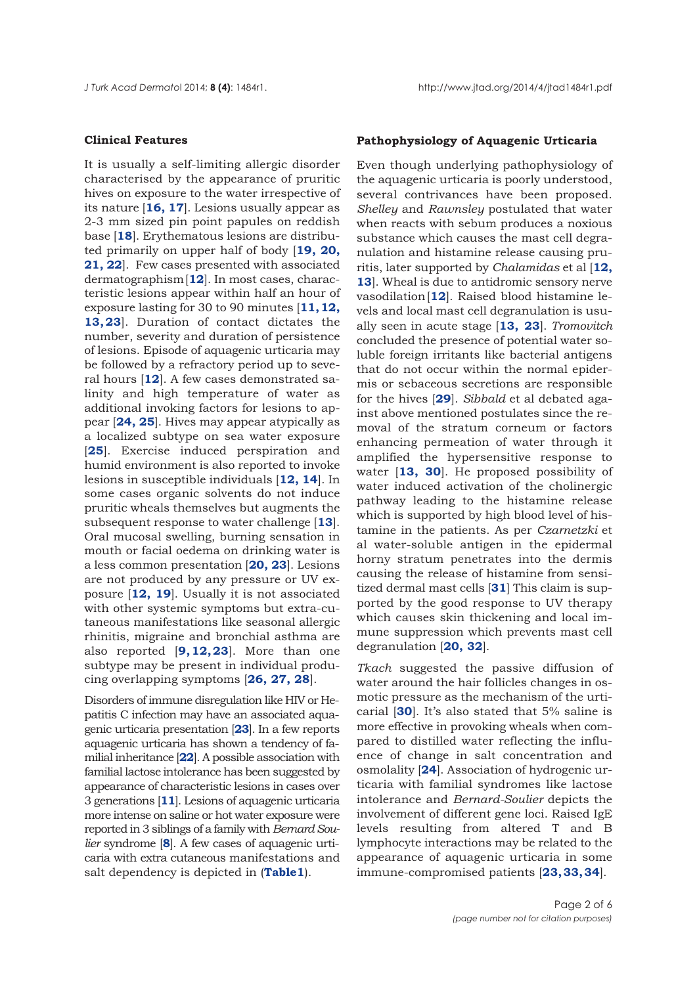### **Clinical Features**

It is usually a self-limiting allergic disorder characterised by the appearance of pruritic hives on exposure to the water irrespective of its nature [**[16, 17](#page-4-0)**]. Lesions usually appear as 2-3 mm sized pin point papules on reddish base [**[18](#page-4-0)**]. Erythematous lesions are distributed primarily on upper half of body [**[19](#page-4-0), [20](#page-4-0), [21](#page-5-0), [22](#page-5-0)**]. Few cases presented with associated dermatographism [**[12](#page-4-0)**]. In most cases, characteristic lesions appear within half an hour of exposure lasting for 30 to 90 minutes [**[11, 12](#page-4-0), [13](#page-4-0), [23](#page-5-0)**]. Duration of contact dictates the number, severity and duration of persistence of lesions. Episode of aquagenic urticaria may be followed by a refractory period up to several hours [**[12](#page-4-0)**]. A few cases demonstrated salinity and high temperature of water as additional invoking factors for lesions to appear [**[24, 25](#page-5-0)**]. Hives may appear atypically as a localized subtype on sea water exposure [**[25](#page-5-0)**]. Exercise induced perspiration and humid environment is also reported to invoke lesions in susceptible individuals [**[12, 14](#page-4-0)**]. In some cases organic solvents do not induce pruritic wheals themselves but augments the subsequent response to water challenge [**[13](#page-4-0)**]. Oral mucosal swelling, burning sensation in mouth or facial oedema on drinking water is a less common presentation [**[20,](#page-4-0) [23](#page-5-0)**]. Lesions are not produced by any pressure or UV exposure [**[12](#page-4-0), [19](#page-4-0)**]. Usually it is not associated with other systemic symptoms but extra-cutaneous manifestations like seasonal allergic rhinitis, migraine and bronchial asthma are also reported [**[9](#page-4-0), [12](#page-4-0), [23](#page-5-0)**]. More than one subtype may be present in individual producing overlapping symptoms [**[26,](#page-5-0) [27,](#page-5-0) [28](#page-5-0)**].

Disorders of immune disregulation like HIV or Hepatitis C infection may have an associated aquagenic urticaria presentation [**[23](#page-5-0)**]. In a few reports aquagenic urticaria has shown a tendency of familial inheritance [**[22](#page-5-0)**]. A possible association with familial lactose intolerance has been suggested by appearance of characteristic lesions in cases over 3 generations [**[11](#page-4-0)**]. Lesions of aquagenic urticaria more intense on saline or hot water exposure were reported in 3 siblings of a family with *Bernard Soulier* syndrome [**[8](#page-4-0)**]. A few cases of aquagenic urticaria with extra cutaneous manifestations and salt dependency is depicted in (**[Table1](#page-2-0)**).

# **Pathophysiology of Aquagenic Urticaria**

Even though underlying pathophysiology of the aquagenic urticaria is poorly understood, several contrivances have been proposed. *Shelley* and *Rawnsley* postulated that water when reacts with sebum produces a noxious substance which causes the mast cell degranulation and histamine release causing pruritis, later supported by *Chalamidas* et al [**[12,](#page-4-0) [13](#page-4-0)**]. Wheal is due to antidromic sensory nerve vasodilation [**[12](#page-4-0)**]. Raised blood histamine levels and local mast cell degranulation is usually seen in acute stage [**[13,](#page-4-0) [23](#page-5-0)**]. *Tromovitch* concluded the presence of potential water soluble foreign irritants like bacterial antigens that do not occur within the normal epidermis or sebaceous secretions are responsible for the hives [**[29](#page-5-0)**]. *Sibbald* et al debated against above mentioned postulates since the removal of the stratum corneum or factors enhancing permeation of water through it amplified the hypersensitive response to water [**[13](#page-4-0), [30](#page-5-0)**]. He proposed possibility of water induced activation of the cholinergic pathway leading to the histamine release which is supported by high blood level of histamine in the patients. As per *Czarnetzki* et al water-soluble antigen in the epidermal horny stratum penetrates into the dermis causing the release of histamine from sensitized dermal mast cells [**[31](#page-5-0)**] This claim is supported by the good response to UV therapy which causes skin thickening and local immune suppression which prevents mast cell degranulation [**[20](#page-5-0), [32](#page-5-0)**].

*Tkach* suggested the passive diffusion of water around the hair follicles changes in osmotic pressure as the mechanism of the urticarial [**[30](#page-5-0)**]. It's also stated that 5% saline is more effective in provoking wheals when compared to distilled water reflecting the influence of change in salt concentration and osmolality [**[24](#page-5-0)**]. Association of hydrogenic urticaria with familial syndromes like lactose intolerance and *Bernard-Soulier* depicts the involvement of different gene loci. Raised IgE levels resulting from altered T and B lymphocyte interactions may be related to the appearance of aquagenic urticaria in some immune-compromised patients [**[23, 33, 34](#page-5-0)**].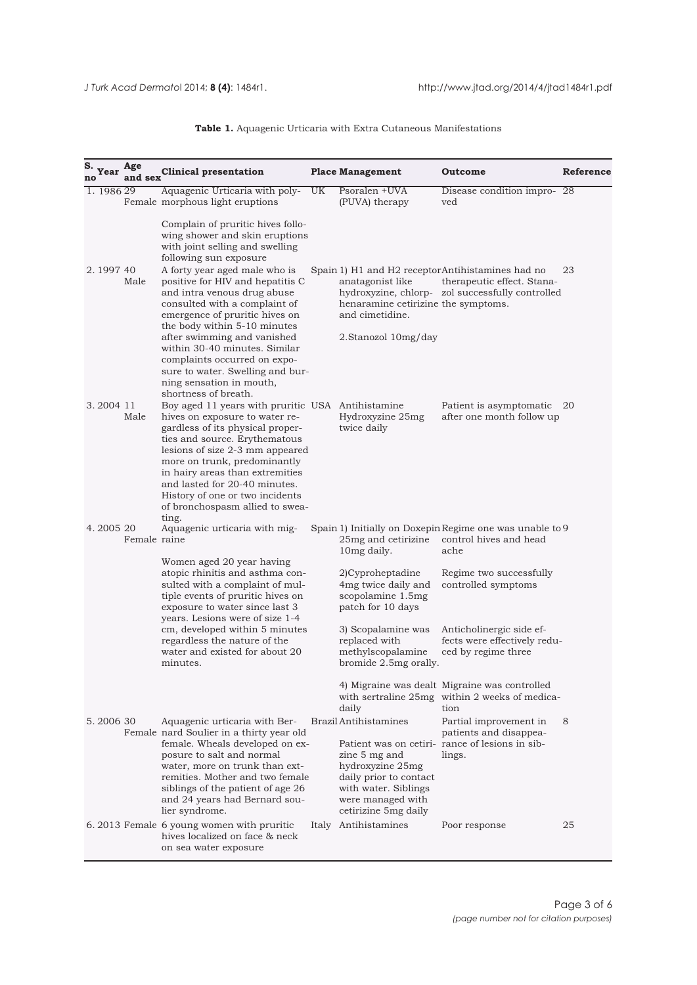# **Table 1.** Aquagenic Urticaria with Extra Cutaneous Manifestations

<span id="page-2-0"></span>

| S. Year    | Age<br>and sex | <b>Clinical presentation</b>                                                                                                                                                                                                                                                                                                                                                                |    | <b>Place Management</b>                                                                                                                                          | Outcome                                                                                                                             | <b>Reference</b> |
|------------|----------------|---------------------------------------------------------------------------------------------------------------------------------------------------------------------------------------------------------------------------------------------------------------------------------------------------------------------------------------------------------------------------------------------|----|------------------------------------------------------------------------------------------------------------------------------------------------------------------|-------------------------------------------------------------------------------------------------------------------------------------|------------------|
| 1. 1986 29 |                | Aquagenic Urticaria with poly-<br>Female morphous light eruptions                                                                                                                                                                                                                                                                                                                           | UK | Psoralen +UVA<br>(PUVA) therapy                                                                                                                                  | Disease condition impro-28<br>ved                                                                                                   |                  |
|            |                | Complain of pruritic hives follo-<br>wing shower and skin eruptions<br>with joint selling and swelling<br>following sun exposure                                                                                                                                                                                                                                                            |    |                                                                                                                                                                  |                                                                                                                                     |                  |
| 2.1997 40  | Male           | A forty year aged male who is<br>positive for HIV and hepatitis C<br>and intra venous drug abuse<br>consulted with a complaint of<br>emergence of pruritic hives on<br>the body within 5-10 minutes<br>after swimming and vanished<br>within 30-40 minutes. Similar<br>complaints occurred on expo-<br>sure to water. Swelling and bur-<br>ning sensation in mouth,<br>shortness of breath. |    | anatagonist like<br>henaramine cetirizine the symptoms.<br>and cimetidine.<br>2.Stanozol 10mg/day                                                                | Spain 1) H1 and H2 receptor Antihistamines had no<br>therapeutic effect. Stana-<br>hydroxyzine, chlorp- zol successfully controlled | 23               |
| 3.2004 11  | Male           | Boy aged 11 years with pruritic USA Antihistamine<br>hives on exposure to water re-<br>gardless of its physical proper-<br>ties and source. Erythematous<br>lesions of size 2-3 mm appeared<br>more on trunk, predominantly<br>in hairy areas than extremities<br>and lasted for 20-40 minutes.<br>History of one or two incidents<br>of bronchospasm allied to swea-<br>ting.              |    | Hydroxyzine 25mg<br>twice daily                                                                                                                                  | Patient is asymptomatic<br>after one month follow up                                                                                | 20               |
| 4.2005 20  | Female raine   | Aquagenic urticaria with mig-                                                                                                                                                                                                                                                                                                                                                               |    | 25mg and cetirizine<br>10mg daily.                                                                                                                               | Spain 1) Initially on Doxepin Regime one was unable to 9<br>control hives and head<br>ache                                          |                  |
|            |                | Women aged 20 year having<br>atopic rhinitis and asthma con-<br>sulted with a complaint of mul-<br>tiple events of pruritic hives on<br>exposure to water since last 3<br>years. Lesions were of size 1-4                                                                                                                                                                                   |    | 2)Cyproheptadine<br>4mg twice daily and<br>scopolamine 1.5mg<br>patch for 10 days                                                                                | Regime two successfully<br>controlled symptoms                                                                                      |                  |
|            |                | cm, developed within 5 minutes<br>regardless the nature of the<br>water and existed for about 20<br>minutes.                                                                                                                                                                                                                                                                                |    | 3) Scopalamine was<br>replaced with<br>methylscopalamine<br>bromide 2.5mg orally.                                                                                | Anticholinergic side ef-<br>fects were effectively redu-<br>ced by regime three                                                     |                  |
|            |                |                                                                                                                                                                                                                                                                                                                                                                                             |    | daily                                                                                                                                                            | 4) Migraine was dealt Migraine was controlled<br>with sertraline 25mg within 2 weeks of medica-<br>tion                             |                  |
| 5.2006 30  |                | Aquagenic urticaria with Ber-<br>Female nard Soulier in a thirty year old<br>female. Wheals developed on ex-<br>posure to salt and normal<br>water, more on trunk than ext-<br>remities. Mother and two female<br>siblings of the patient of age 26<br>and 24 years had Bernard sou-<br>lier syndrome.                                                                                      |    | <b>Brazil Antihistamines</b><br>zine 5 mg and<br>hydroxyzine 25mg<br>daily prior to contact<br>with water. Siblings<br>were managed with<br>cetirizine 5mg daily | Partial improvement in<br>patients and disappea-<br>Patient was on cetiri- rance of lesions in sib-<br>lings.                       | 8                |
|            |                | 6.2013 Female 6 young women with pruritic<br>hives localized on face & neck<br>on sea water exposure                                                                                                                                                                                                                                                                                        |    | Italy Antihistamines                                                                                                                                             | Poor response                                                                                                                       | 25               |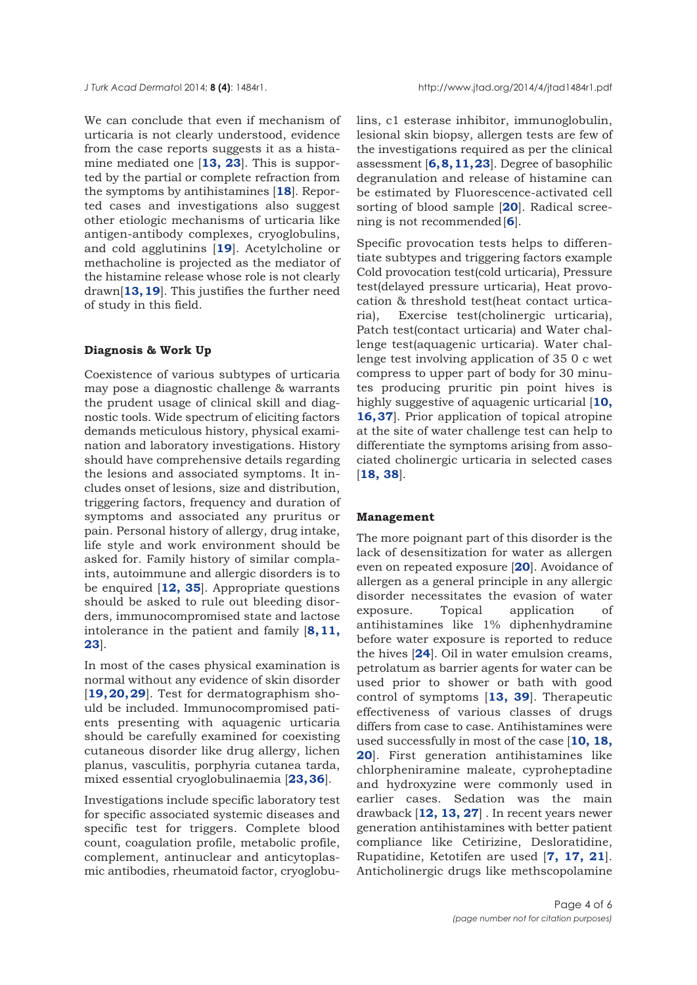We can conclude that even if mechanism of urticaria is not clearly understood, evidence from the case reports suggests it as a histamine mediated one [**[13](#page-4-0), [23](#page-5-0)**]. This is supported by the partial or complete refraction from the symptoms by antihistamines [**[18](#page-4-0)**]. Reported cases and investigations also suggest other etiologic mechanisms of urticaria like antigen-antibody complexes, cryoglobulins, and cold agglutinins [**[19](#page-4-0)**]. Acetylcholine or methacholine is projected as the mediator of the histamine release whose role is not clearly drawn[**[13, 19](#page-4-0)**]. This justifies the further need of study in this field.

### **Diagnosis & Work Up**

Coexistence of various subtypes of urticaria may pose a diagnostic challenge & warrants the prudent usage of clinical skill and diagnostic tools. Wide spectrum of eliciting factors demands meticulous history, physical examination and laboratory investigations. History should have comprehensive details regarding the lesions and associated symptoms. It includes onset of lesions, size and distribution, triggering factors, frequency and duration of symptoms and associated any pruritus or pain. Personal history of allergy, drug intake, life style and work environment should be asked for. Family history of similar complaints, autoimmune and allergic disorders is to be enquired [**[12,](#page-4-0) [35](#page-5-0)**]. Appropriate questions should be asked to rule out bleeding disorders, immunocompromised state and lactose intolerance in the patient and family [**[8](#page-4-0), [11](#page-4-0), [23](#page-5-0)**].

In most of the cases physical examination is normal without any evidence of skin disorder [**[19](#page-4-0), [20](#page-5-0), [29](#page-5-0)**]. Test for dermatographism should be included. Immunocompromised patients presenting with aquagenic urticaria should be carefully examined for coexisting cutaneous disorder like drug allergy, lichen planus, vasculitis, porphyria cutanea tarda, mixed essential cryoglobulinaemia [**[23, 36](#page-5-0)**].

Investigations include specific laboratory test for specific associated systemic diseases and specific test for triggers. Complete blood count, coagulation profile, metabolic profile, complement, antinuclear and anticytoplasmic antibodies, rheumatoid factor, cryoglobulins, c1 esterase inhibitor, immunoglobulin, lesional skin biopsy, allergen tests are few of the investigations required as per the clinical assessment [**[6, 8, 11](#page-4-0), [23](#page-5-0)**]. Degree of basophilic degranulation and release of histamine can be estimated by Fluorescence-activated cell sorting of blood sample [**[20](#page-5-0)**]. Radical screening is not recommended [**[6](#page-4-0)**].

Specific provocation tests helps to differentiate subtypes and triggering factors example Cold provocation test(cold urticaria), Pressure test(delayed pressure urticaria), Heat provocation & threshold test(heat contact urticaria), Exercise test(cholinergic urticaria), Patch test(contact urticaria) and Water challenge test(aquagenic urticaria). Water challenge test involving application of 35 0 c wet compress to upper part of body for 30 minutes producing pruritic pin point hives is highly suggestive of aquagenic urticarial [**[10,](#page-4-0) [16](#page-4-0), [37](#page-5-0)**]. Prior application of topical atropine at the site of water challenge test can help to differentiate the symptoms arising from associated cholinergic urticaria in selected cases [**[18,](#page-4-0) [38](#page-5-0)**].

#### **Management**

The more poignant part of this disorder is the lack of desensitization for water as allergen even on repeated exposure [**[20](#page-5-0)**]. Avoidance of allergen as a general principle in any allergic disorder necessitates the evasion of water exposure. Topical application of antihistamines like 1% diphenhydramine before water exposure is reported to reduce the hives [**[24](#page-5-0)**]. Oil in water emulsion creams, petrolatum as barrier agents for water can be used prior to shower or bath with good control of symptoms [**[13,](#page-4-0) [39](#page-5-0)**]. Therapeutic effectiveness of various classes of drugs differs from case to case. Antihistamines were used successfully in most of the case [**[10, 18,](#page-4-0) [20](#page-4-0)**]. First generation antihistamines like chlorpheniramine maleate, cyproheptadine and hydroxyzine were commonly used in earlier cases. Sedation was the main drawback [**[12, 13,](#page-4-0) [27](#page-5-0)**] . In recent years newer generation antihistamines with better patient compliance like Cetirizine, Desloratidine, Rupatidine, Ketotifen are used [**[7,](#page-4-0) [17](#page-4-0), [21](#page-5-0)**]. Anticholinergic drugs like methscopolamine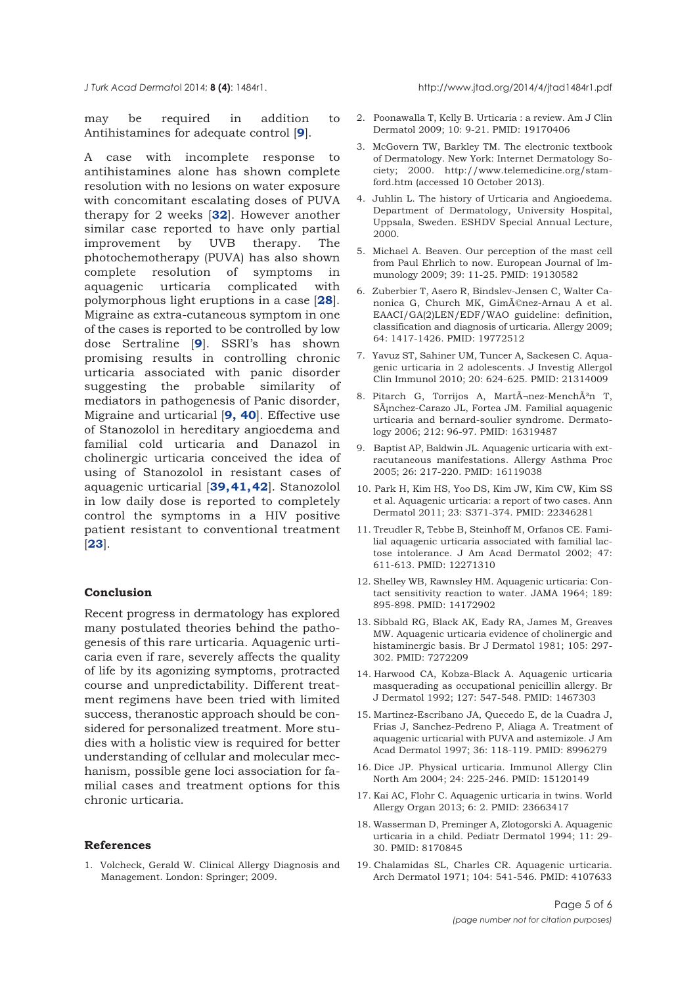<span id="page-4-0"></span>

may be required in addition to Antihistamines for adequate control [**9**].

A case with incomplete response to antihistamines alone has shown complete resolution with no lesions on water exposure with concomitant escalating doses of PUVA therapy for 2 weeks [**[32](#page-5-0)**]. However another similar case reported to have only partial improvement by UVB therapy. The photochemotherapy (PUVA) has also shown complete resolution of symptoms in aquagenic urticaria complicated with polymorphous light eruptions in a case [**[28](#page-5-0)**]. Migraine as extra-cutaneous symptom in one of the cases is reported to be controlled by low dose Sertraline [**9**]. SSRI's has shown promising results in controlling chronic urticaria associated with panic disorder suggesting the probable similarity of mediators in pathogenesis of Panic disorder, Migraine and urticarial [**9, [40](#page-5-0)**]. Effective use of Stanozolol in hereditary angioedema and familial cold urticaria and Danazol in cholinergic urticaria conceived the idea of using of Stanozolol in resistant cases of aquagenic urticarial [**[39, 41, 42](#page-5-0)**]. Stanozolol in low daily dose is reported to completely control the symptoms in a HIV positive patient resistant to conventional treatment [**[23](#page-5-0)**].

# **Conclusion**

Recent progress in dermatology has explored many postulated theories behind the pathogenesis of this rare urticaria. Aquagenic urticaria even if rare, severely affects the quality of life by its agonizing symptoms, protracted course and unpredictability. Different treatment regimens have been tried with limited success, theranostic approach should be considered for personalized treatment. More studies with a holistic view is required for better understanding of cellular and molecular mechanism, possible gene loci association for familial cases and treatment options for this chronic urticaria.

#### **References**

1. Volcheck, Gerald W. Clinical Allergy Diagnosis and Management. London: Springer; 2009.

- 2. Poonawalla T, Kelly B. Urticaria : a review. Am J Clin Dermatol 2009; 10: 9-21. PMID: 19170406
- 3. McGovern TW, Barkley TM. The electronic textbook of Dermatology. New York: Internet Dermatology Society; 2000. http://www.telemedicine.org/stamford.htm (accessed 10 October 2013).
- 4. Juhlin L. The history of Urticaria and Angioedema. Department of Dermatology, University Hospital, Uppsala, Sweden. ESHDV Special Annual Lecture, 2000.
- 5. Michael A. Beaven. Our perception of the mast cell from Paul Ehrlich to now. European Journal of Immunology 2009; 39: 11-25. PMID: 19130582
- 6. Zuberbier T, Asero R, Bindslev-Jensen C, Walter Canonica G, Church MK, Giménez-Arnau A et al. EAACI/GA(2)LEN/EDF/WAO guideline: definition, classification and diagnosis of urticaria. Allergy 2009; 64: 1417-1426. PMID: 19772512
- 7. Yavuz ST, Sahiner UM, Tuncer A, Sackesen C. Aquagenic urticaria in 2 adolescents. J Investig Allergol Clin Immunol 2010; 20: 624-625. PMID: 21314009
- 8. Pitarch G, Torrijos A, MartÃ-nez-MenchÃ3n T, Sánchez-Carazo JL, Fortea JM. Familial aquagenic urticaria and bernard-soulier syndrome. Dermatology 2006; 212: 96-97. PMID: 16319487
- 9. Baptist AP, Baldwin JL. Aquagenic urticaria with extracutaneous manifestations. Allergy Asthma Proc 2005; 26: 217-220. PMID: 16119038
- 10. Park H, Kim HS, Yoo DS, Kim JW, Kim CW, Kim SS et al. Aquagenic urticaria: a report of two cases. Ann Dermatol 2011; 23: S371-374. PMID: 22346281
- 11. Treudler R, Tebbe B, Steinhoff M, Orfanos CE. Familial aquagenic urticaria associated with familial lactose intolerance. J Am Acad Dermatol 2002; 47: 611-613. PMID: 12271310
- 12. Shelley WB, Rawnsley HM. Aquagenic urticaria: Contact sensitivity reaction to water. JAMA 1964; 189: 895-898. PMID: 14172902
- 13. Sibbald RG, Black AK, Eady RA, James M, Greaves MW. Aquagenic urticaria evidence of cholinergic and histaminergic basis. Br J Dermatol 1981; 105: 297- 302. PMID: 7272209
- 14. Harwood CA, Kobza-Black A. Aquagenic urticaria masquerading as occupational penicillin allergy. Br J Dermatol 1992; 127: 547-548. PMID: 1467303
- 15. Martinez-Escribano JA, Quecedo E, de la Cuadra J, Frias J, Sanchez-Pedreno P, Aliaga A. Treatment of aquagenic urticarial with PUVA and astemizole. J Am Acad Dermatol 1997; 36: 118-119. PMID: 8996279
- 16. Dice JP. Physical urticaria. Immunol Allergy Clin North Am 2004; 24: 225-246. PMID: 15120149
- 17. Kai AC, Flohr C. Aquagenic urticaria in twins. World Allergy Organ 2013; 6: 2. PMID: 23663417
- 18. Wasserman D, Preminger A, Zlotogorski A. Aquagenic urticaria in a child. Pediatr Dermatol 1994; 11: 29- 30. PMID: 8170845
- 19. Chalamidas SL, Charles CR. Aquagenic urticaria. Arch Dermatol 1971; 104: 541-546. PMID: 4107633